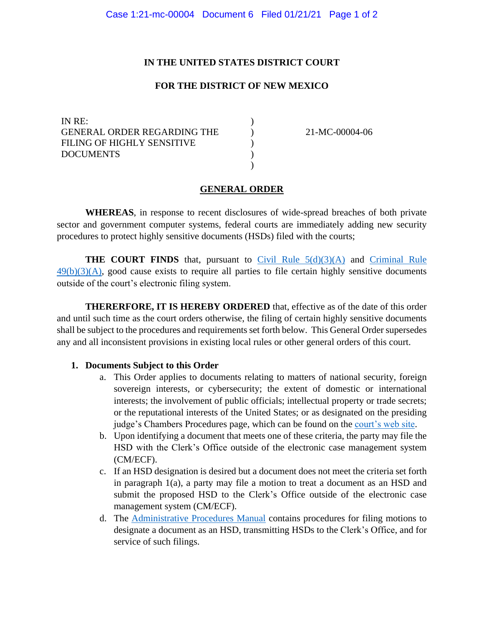### **IN THE UNITED STATES DISTRICT COURT**

### **FOR THE DISTRICT OF NEW MEXICO**

)  $\mathcal{L}$ ) ) )

IN RE: GENERAL ORDER REGARDING THE FILING OF HIGHLY SENSITIVE DOCUMENTS

21-MC-00004-06

### **GENERAL ORDER**

**WHEREAS**, in response to recent disclosures of wide-spread breaches of both private sector and government computer systems, federal courts are immediately adding new security procedures to protect highly sensitive documents (HSDs) filed with the courts;

**THE COURT FINDS** that, pursuant to Civil Rule  $5(d)(3)(A)$  and Criminal Rule  $49(b)(3)(A)$ , good cause exists to require all parties to file certain highly sensitive documents outside of the court's electronic filing system.

**THERERFORE, IT IS HEREBY ORDERED** that, effective as of the date of this order and until such time as the court orders otherwise, the filing of certain highly sensitive documents shall be subject to the procedures and requirements set forth below. This General Order supersedes any and all inconsistent provisions in existing local rules or other general orders of this court.

#### **1. Documents Subject to this Order**

- a. This Order applies to documents relating to matters of national security, foreign sovereign interests, or cybersecurity; the extent of domestic or international interests; the involvement of public officials; intellectual property or trade secrets; or the reputational interests of the United States; or as designated on the presiding judge's Chambers Procedures page, which can be found on the [court's web site.](https://www.nmd.uscourts.gov/judges)
- b. Upon identifying a document that meets one of these criteria, the party may file the HSD with the Clerk's Office outside of the electronic case management system (CM/ECF).
- c. If an HSD designation is desired but a document does not meet the criteria set forth in paragraph 1(a), a party may file a motion to treat a document as an HSD and submit the proposed HSD to the Clerk's Office outside of the electronic case management system (CM/ECF).
- d. The [Administrative Procedures Manual](https://www.nmd.uscourts.gov/sites/nmd/files/NMD_APM.pdf) contains procedures for filing motions to designate a document as an HSD, transmitting HSDs to the Clerk's Office, and for service of such filings.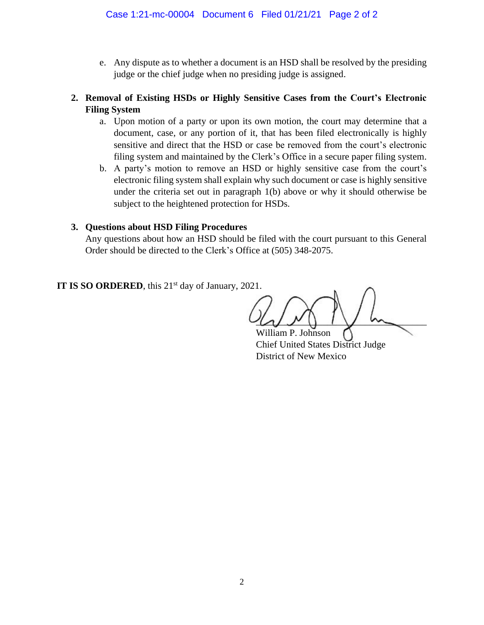e. Any dispute as to whether a document is an HSD shall be resolved by the presiding judge or the chief judge when no presiding judge is assigned.

## **2. Removal of Existing HSDs or Highly Sensitive Cases from the Court's Electronic Filing System**

- a. Upon motion of a party or upon its own motion, the court may determine that a document, case, or any portion of it, that has been filed electronically is highly sensitive and direct that the HSD or case be removed from the court's electronic filing system and maintained by the Clerk's Office in a secure paper filing system.
- b. A party's motion to remove an HSD or highly sensitive case from the court's electronic filing system shall explain why such document or case is highly sensitive under the criteria set out in paragraph 1(b) above or why it should otherwise be subject to the heightened protection for HSDs.

## **3. Questions about HSD Filing Procedures**

Any questions about how an HSD should be filed with the court pursuant to this General Order should be directed to the Clerk's Office at (505) 348-2075.

**IT IS SO ORDERED**, this 21<sup>st</sup> day of January, 2021.

 $\omega \nu$   $\omega$ 

William P. Johnson Chief United States District Judge District of New Mexico